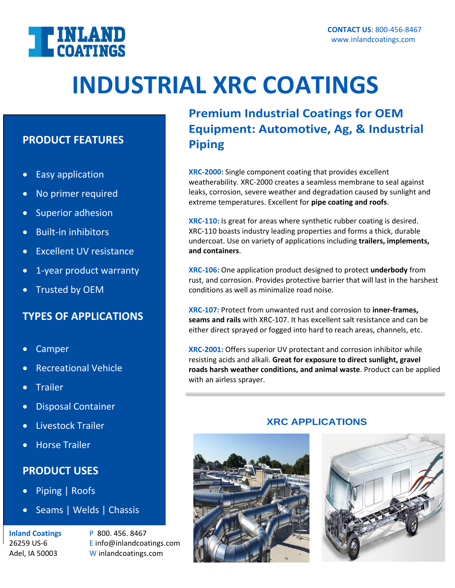

# **INDUSTRIAL XRC COATINGS**

### **PRODUCT FEATURES**

- Easy application
- No primer required
- Superior adhesion
- Built-in inhibitors
- Excellent UV resistance
- 1-year product warranty
- Trusted by OEM

## **TYPES OF APPLICATIONS**

- Camper
- Recreational Vehicle
- **Trailer**
- Disposal Container
- Livestock Trailer
- Horse Trailer

## **PRODUCT USES**

- Piping | Roofs
- Seams | Welds | Chassis

**Inland Coatings** P 800. 456. 8467

26259 US-6 E info@inlandcoatings.com Adel, IA 50003 W inlandcoatings.com

**Premium Industrial Coatings for OEM Equipment: Automotive, Ag, & Industrial Piping**

**XRC-2000:** Single component coating that provides excellent weatherability. XRC-2000 creates a seamless membrane to seal against leaks, corrosion, severe weather and degradation caused by sunlight and extreme temperatures. Excellent for **pipe coating and roofs**.

**XRC-110:** Is great for areas where synthetic rubber coating is desired. XRC-110 boasts industry leading properties and forms a thick, durable undercoat. Use on variety of applications including **trailers, implements, and containers**.

**XRC-106:** One application product designed to protect **underbody** from rust, and corrosion. Provides protective barrier that will last in the harshest conditions as well as minimalize road noise.

**XRC-107:** Protect from unwanted rust and corrosion to **inner-frames, seams and rails** with XRC-107. It has excellent salt resistance and can be either direct sprayed or fogged into hard to reach areas, channels, etc.

**XRC-2001:** Offers superior UV protectant and corrosion inhibitor while resisting acids and alkali. **Great for exposure to direct sunlight, gravel roads harsh weather conditions, and animal waste**. Product can be applied with an airless sprayer.

### **XRC APPLICATIONS**